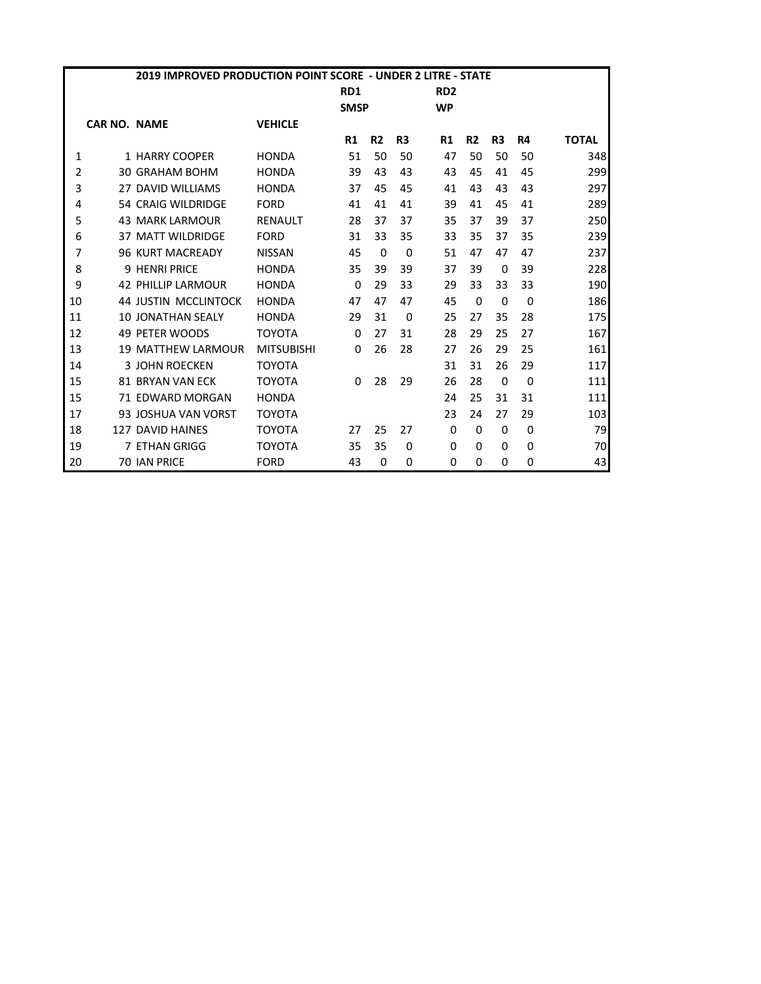|    |                     | 2019 IMPROVED PRODUCTION POINT SCORE - UNDER 2 LITRE - STATE |                   |                 |                |                |                 |                |                |           |              |
|----|---------------------|--------------------------------------------------------------|-------------------|-----------------|----------------|----------------|-----------------|----------------|----------------|-----------|--------------|
|    |                     |                                                              |                   | RD <sub>1</sub> |                |                | RD <sub>2</sub> |                |                |           |              |
|    |                     |                                                              |                   | <b>SMSP</b>     |                |                | <b>WP</b>       |                |                |           |              |
|    | <b>CAR NO. NAME</b> |                                                              | <b>VEHICLE</b>    |                 |                |                |                 |                |                |           |              |
|    |                     |                                                              |                   | R1              | R <sub>2</sub> | R <sub>3</sub> | R1              | R <sub>2</sub> | R <sub>3</sub> | <b>R4</b> | <b>TOTAL</b> |
| 1  |                     | 1 HARRY COOPER                                               | <b>HONDA</b>      | 51              | 50             | 50             | 47              | 50             | 50             | 50        | 348          |
| 2  |                     | <b>30 GRAHAM BOHM</b>                                        | <b>HONDA</b>      | 39              | 43             | 43             | 43              | 45             | 41             | 45        | 299          |
| 3  |                     | 27 DAVID WILLIAMS                                            | <b>HONDA</b>      | 37              | 45             | 45             | 41              | 43             | 43             | 43        | 297          |
| 4  |                     | 54 CRAIG WILDRIDGE                                           | <b>FORD</b>       | 41              | 41             | 41             | 39              | 41             | 45             | 41        | 289          |
| 5  |                     | <b>43 MARK LARMOUR</b>                                       | <b>RENAULT</b>    | 28              | 37             | 37             | 35              | 37             | 39             | 37        | 250          |
| 6  |                     | <b>37 MATT WILDRIDGE</b>                                     | <b>FORD</b>       | 31              | 33             | 35             | 33              | 35             | 37             | 35        | 239          |
| 7  |                     | <b>96 KURT MACREADY</b>                                      | <b>NISSAN</b>     | 45              | $\Omega$       | 0              | 51              | 47             | 47             | 47        | 237          |
| 8  |                     | <b>9 HENRI PRICE</b>                                         | <b>HONDA</b>      | 35              | 39             | 39             | 37              | 39             | $\Omega$       | 39        | 228          |
| 9  |                     | 42 PHILLIP LARMOUR                                           | <b>HONDA</b>      | $\Omega$        | 29             | 33             | 29              | 33             | 33             | 33        | 190          |
| 10 |                     | <b>44 JUSTIN MCCLINTOCK</b>                                  | <b>HONDA</b>      | 47              | 47             | 47             | 45              | $\Omega$       | $\Omega$       | $\Omega$  | 186          |
| 11 |                     | <b>10 JONATHAN SEALY</b>                                     | <b>HONDA</b>      | 29              | 31             | 0              | 25              | 27             | 35             | 28        | 175          |
| 12 |                     | <b>49 PFTFR WOODS</b>                                        | <b>TOYOTA</b>     | $\Omega$        | 27             | 31             | 28              | 29             | 25             | 27        | 167          |
| 13 |                     | <b>19 MATTHEW LARMOUR</b>                                    | <b>MITSUBISHI</b> | $\Omega$        | 26             | 28             | 27              | 26             | 29             | 25        | 161          |
| 14 |                     | <b>3 JOHN ROECKEN</b>                                        | <b>TOYOTA</b>     |                 |                |                | 31              | 31             | 26             | 29        | 117          |
| 15 |                     | <b>81 BRYAN VAN FCK</b>                                      | <b>TOYOTA</b>     | 0               | 28             | 29             | 26              | 28             | $\Omega$       | $\Omega$  | 111          |
| 15 |                     | 71 EDWARD MORGAN                                             | <b>HONDA</b>      |                 |                |                | 24              | 25             | 31             | 31        | 111          |
| 17 |                     | 93 JOSHUA VAN VORST                                          | <b>TOYOTA</b>     |                 |                |                | 23              | 24             | 27             | 29        | 103          |
| 18 |                     | 127 DAVID HAINES                                             | <b>TOYOTA</b>     | 27              | 25             | 27             | $\Omega$        | $\Omega$       | $\Omega$       | $\Omega$  | 79           |
| 19 |                     | 7 ETHAN GRIGG                                                | <b>TOYOTA</b>     | 35              | 35             | 0              | 0               | 0              | 0              | $\Omega$  | 70           |
| 20 |                     | <b>70 IAN PRICE</b>                                          | <b>FORD</b>       | 43              | 0              | 0              | $\Omega$        | 0              | 0              | 0         | 43           |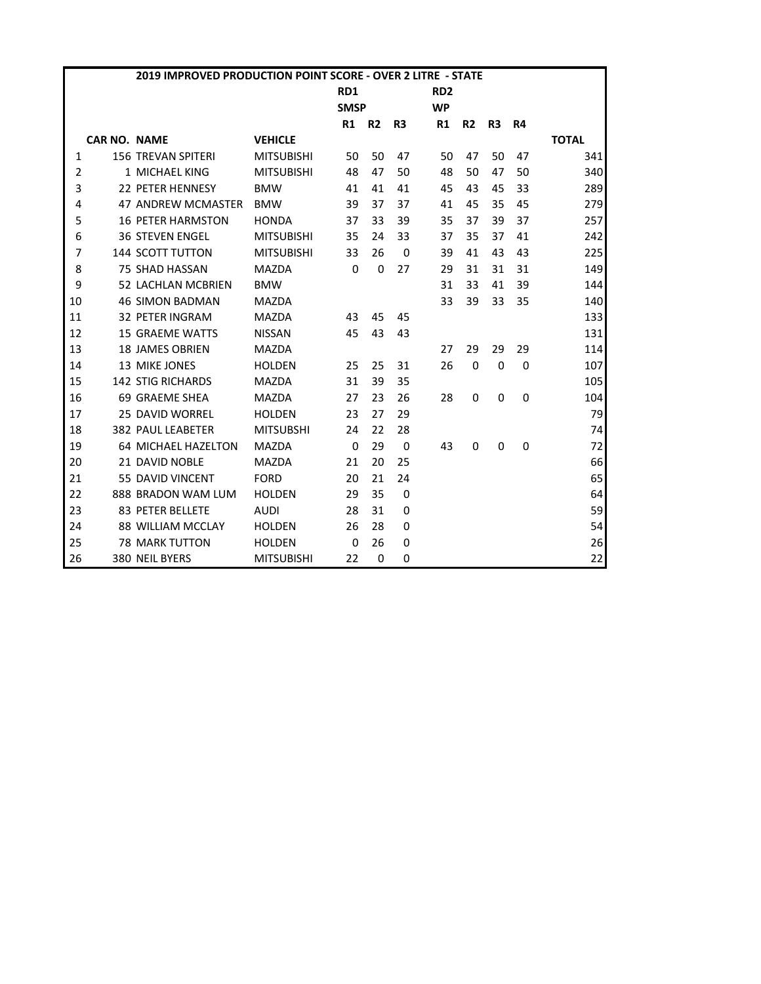|                |                     | 2019 IMPROVED PRODUCTION POINT SCORE - OVER 2 LITRE - STATE |                   |             |                |                |                 |                |                |           |              |
|----------------|---------------------|-------------------------------------------------------------|-------------------|-------------|----------------|----------------|-----------------|----------------|----------------|-----------|--------------|
|                |                     |                                                             |                   | RD1         |                |                | RD <sub>2</sub> |                |                |           |              |
|                |                     |                                                             |                   | <b>SMSP</b> |                |                | <b>WP</b>       |                |                |           |              |
|                |                     |                                                             |                   | R1          | R <sub>2</sub> | R <sub>3</sub> | R1              | R <sub>2</sub> | R <sub>3</sub> | <b>R4</b> |              |
|                | <b>CAR NO. NAME</b> |                                                             | <b>VEHICLE</b>    |             |                |                |                 |                |                |           | <b>TOTAL</b> |
| 1              |                     | <b>156 TREVAN SPITERI</b>                                   | <b>MITSUBISHI</b> | 50          | 50             | 47             | 50              | 47             | 50             | 47        | 341          |
| $\overline{2}$ |                     | 1 MICHAEL KING                                              | <b>MITSUBISHI</b> | 48          | 47             | 50             | 48              | 50             | 47             | 50        | 340          |
| 3              |                     | 22 PETER HENNESY                                            | <b>BMW</b>        | 41          | 41             | 41             | 45              | 43             | 45             | 33        | 289          |
| 4              |                     | <b>47 ANDREW MCMASTER</b>                                   | <b>BMW</b>        | 39          | 37             | 37             | 41              | 45             | 35             | 45        | 279          |
| 5              |                     | <b>16 PETER HARMSTON</b>                                    | <b>HONDA</b>      | 37          | 33             | 39             | 35              | 37             | 39             | 37        | 257          |
| 6              |                     | <b>36 STEVEN ENGEL</b>                                      | <b>MITSUBISHI</b> | 35          | 24             | 33             | 37              | 35             | 37             | 41        | 242          |
| $\overline{7}$ |                     | <b>144 SCOTT TUTTON</b>                                     | <b>MITSUBISHI</b> | 33          | 26             | $\Omega$       | 39              | 41             | 43             | 43        | 225          |
| 8              |                     | <b>75 SHAD HASSAN</b>                                       | <b>MAZDA</b>      | 0           | $\Omega$       | 27             | 29              | 31             | 31             | 31        | 149          |
| 9              |                     | 52 LACHLAN MCBRIEN                                          | <b>BMW</b>        |             |                |                | 31              | 33             | 41             | 39        | 144          |
| 10             |                     | <b>46 SIMON BADMAN</b>                                      | <b>MAZDA</b>      |             |                |                | 33              | 39             | 33             | 35        | 140          |
| 11             |                     | <b>32 PETER INGRAM</b>                                      | <b>MAZDA</b>      | 43          | 45             | 45             |                 |                |                |           | 133          |
| 12             |                     | <b>15 GRAEME WATTS</b>                                      | <b>NISSAN</b>     | 45          | 43             | 43             |                 |                |                |           | 131          |
| 13             |                     | <b>18 JAMES OBRIEN</b>                                      | <b>MAZDA</b>      |             |                |                | 27              | 29             | 29             | 29        | 114          |
| 14             |                     | 13 MIKE JONES                                               | <b>HOLDEN</b>     | 25          | 25             | 31             | 26              | $\Omega$       | $\Omega$       | 0         | 107          |
| 15             |                     | <b>142 STIG RICHARDS</b>                                    | <b>MAZDA</b>      | 31          | 39             | 35             |                 |                |                |           | 105          |
| 16             |                     | 69 GRAEME SHEA                                              | <b>MAZDA</b>      | 27          | 23             | 26             | 28              | 0              | 0              | 0         | 104          |
| 17             |                     | <b>25 DAVID WORREL</b>                                      | <b>HOLDEN</b>     | 23          | 27             | 29             |                 |                |                |           | 79           |
| 18             |                     | <b>382 PAUL LEABETER</b>                                    | <b>MITSUBSHI</b>  | 24          | 22             | 28             |                 |                |                |           | 74           |
| 19             |                     | <b>64 MICHAEL HAZELTON</b>                                  | <b>MAZDA</b>      | 0           | 29             | $\Omega$       | 43              | 0              | $\Omega$       | $\Omega$  | 72           |
| 20             |                     | 21 DAVID NOBLE                                              | <b>MAZDA</b>      | 21          | 20             | 25             |                 |                |                |           | 66           |
| 21             |                     | 55 DAVID VINCENT                                            | <b>FORD</b>       | 20          | 21             | 24             |                 |                |                |           | 65           |
| 22             |                     | 888 BRADON WAM LUM                                          | <b>HOLDEN</b>     | 29          | 35             | $\Omega$       |                 |                |                |           | 64           |
| 23             |                     | 83 PETER BELLETE                                            | <b>AUDI</b>       | 28          | 31             | 0              |                 |                |                |           | 59           |
| 24             |                     | 88 WILLIAM MCCLAY                                           | <b>HOLDEN</b>     | 26          | 28             | $\Omega$       |                 |                |                |           | 54           |
| 25             |                     | <b>78 MARK TUTTON</b>                                       | <b>HOLDEN</b>     | $\Omega$    | 26             | 0              |                 |                |                |           | 26           |
| 26             |                     | 380 NEIL BYERS                                              | <b>MITSUBISHI</b> | 22          | $\Omega$       | 0              |                 |                |                |           | 22           |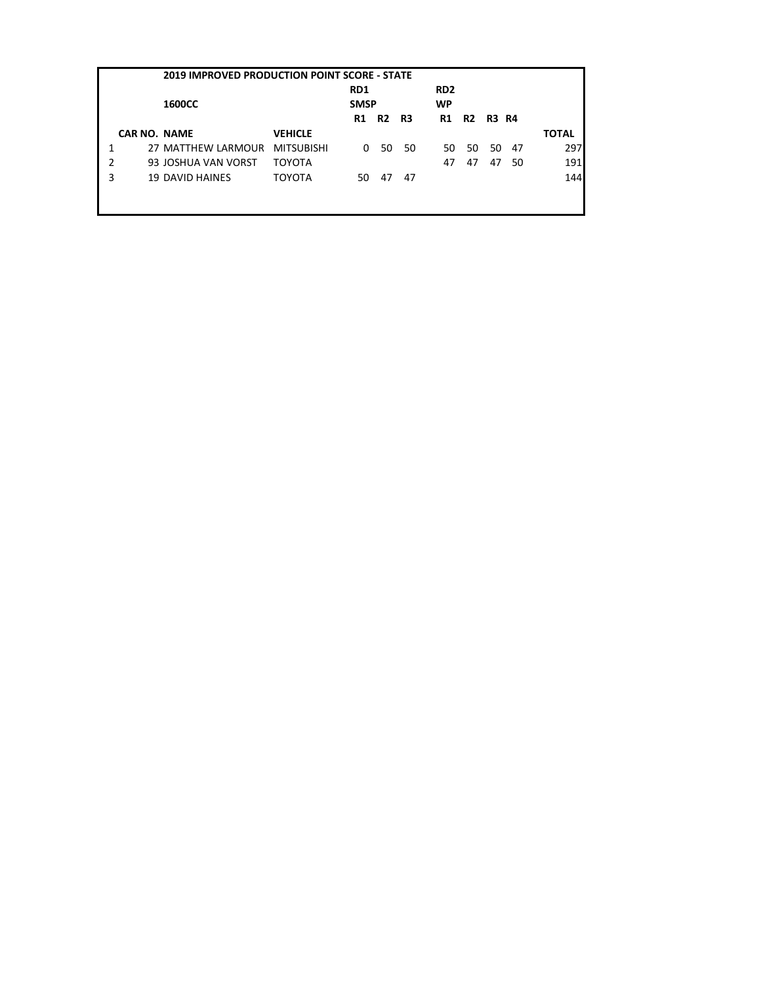|   | <b>2019 IMPROVED PRODUCTION POINT SCORE - STATE</b> |                        |                   |                 |                |      |                 |    |          |    |              |  |
|---|-----------------------------------------------------|------------------------|-------------------|-----------------|----------------|------|-----------------|----|----------|----|--------------|--|
|   |                                                     |                        |                   | RD <sub>1</sub> |                |      | RD <sub>2</sub> |    |          |    |              |  |
|   |                                                     | <b>1600CC</b>          |                   | <b>SMSP</b>     |                |      | <b>WP</b>       |    |          |    |              |  |
|   |                                                     |                        |                   | R1              | R <sub>2</sub> | - R3 | R1              |    | R2 R3 R4 |    |              |  |
|   | <b>CAR NO. NAME</b>                                 |                        | <b>VEHICLE</b>    |                 |                |      |                 |    |          |    | <b>TOTAL</b> |  |
|   |                                                     | 27 MATTHEW LARMOUR     | <b>MITSUBISHI</b> | 0               | 50             | 50   | 50              | 50 | - 50     | 47 | 297          |  |
| 2 |                                                     | 93 JOSHUA VAN VORST    | <b>TOYOTA</b>     |                 |                |      | 47              | 47 | 47       | 50 | 191          |  |
| 3 |                                                     | <b>19 DAVID HAINES</b> | TOYOTA            | 50              | 47             | 47   |                 |    |          |    | 144          |  |
|   |                                                     |                        |                   |                 |                |      |                 |    |          |    |              |  |
|   |                                                     |                        |                   |                 |                |      |                 |    |          |    |              |  |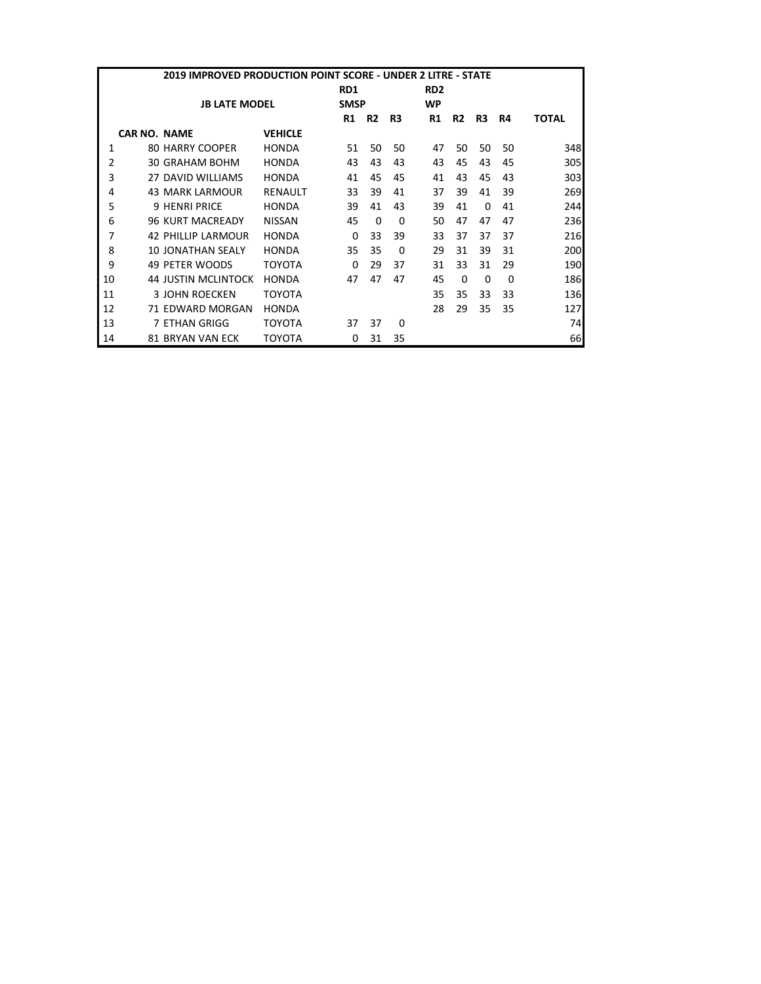|                | 2019 IMPROVED PRODUCTION POINT SCORE - UNDER 2 LITRE - STATE |                            |                |          |                |              |                 |                |                |          |              |  |
|----------------|--------------------------------------------------------------|----------------------------|----------------|----------|----------------|--------------|-----------------|----------------|----------------|----------|--------------|--|
|                |                                                              |                            |                | RD1      |                |              | RD <sub>2</sub> |                |                |          |              |  |
|                |                                                              | <b>JB LATE MODEL</b>       |                |          | <b>SMSP</b>    |              |                 |                |                |          |              |  |
|                |                                                              |                            |                | R1       | R <sub>2</sub> | R3           | R1              | R <sub>2</sub> | R <sub>3</sub> | R4       | <b>TOTAL</b> |  |
|                | <b>CAR NO. NAME</b>                                          |                            | <b>VEHICLE</b> |          |                |              |                 |                |                |          |              |  |
| 1              |                                                              | 80 HARRY COOPER            | <b>HONDA</b>   | 51       | 50             | 50           | 47              | 50             | 50             | 50       | 348          |  |
| $\overline{2}$ |                                                              | 30 GRAHAM BOHM             | <b>HONDA</b>   | 43       | 43             | 43           | 43              | 45             | 43             | 45       | 305          |  |
| 3              |                                                              | 27 DAVID WILLIAMS          | <b>HONDA</b>   | 41       | 45             | 45           | 41              | 43             | 45             | 43       | 303          |  |
| 4              |                                                              | <b>43 MARK LARMOUR</b>     | <b>RENAULT</b> | 33       | 39             | 41           | 37              | 39             | 41             | 39       | 269          |  |
| 5              |                                                              | <b>9 HENRI PRICE</b>       | <b>HONDA</b>   | 39       | 41             | 43           | 39              | 41             | 0              | 41       | 244          |  |
| 6              |                                                              | <b>96 KURT MACREADY</b>    | <b>NISSAN</b>  | 45       | $\Omega$       | 0            | 50              | 47             | 47             | 47       | 236          |  |
| 7              |                                                              | <b>42 PHILLIP LARMOUR</b>  | <b>HONDA</b>   | $\Omega$ | 33             | 39           | 33              | 37             | 37             | 37       | 216          |  |
| 8              |                                                              | <b>10 JONATHAN SEALY</b>   | <b>HONDA</b>   | 35       | 35             | <sup>0</sup> | 29              | 31             | 39             | 31       | 200          |  |
| 9              |                                                              | 49 PETER WOODS             | ΤΟΥΟΤΑ         | 0        | 29             | 37           | 31              | 33             | 31             | 29       | 190          |  |
| 10             |                                                              | <b>44 JUSTIN MCLINTOCK</b> | <b>HONDA</b>   | 47       | 47             | 47           | 45              | $\Omega$       | $\Omega$       | $\Omega$ | 186          |  |
| 11             |                                                              | 3 JOHN ROECKEN             | ΤΟΥΟΤΑ         |          |                |              | 35              | 35             | 33             | 33       | 136          |  |
| 12             |                                                              | 71 EDWARD MORGAN           | <b>HONDA</b>   |          |                |              | 28              | 29             | 35             | 35       | 127          |  |
| 13             |                                                              | 7 ETHAN GRIGG              | ΤΟΥΟΤΑ         | 37       | 37             | 0            |                 |                |                |          | 74           |  |
| 14             |                                                              | 81 BRYAN VAN ECK           | ΤΟΥΟΤΑ         | 0        | 31             | 35           |                 |                |                |          | 66           |  |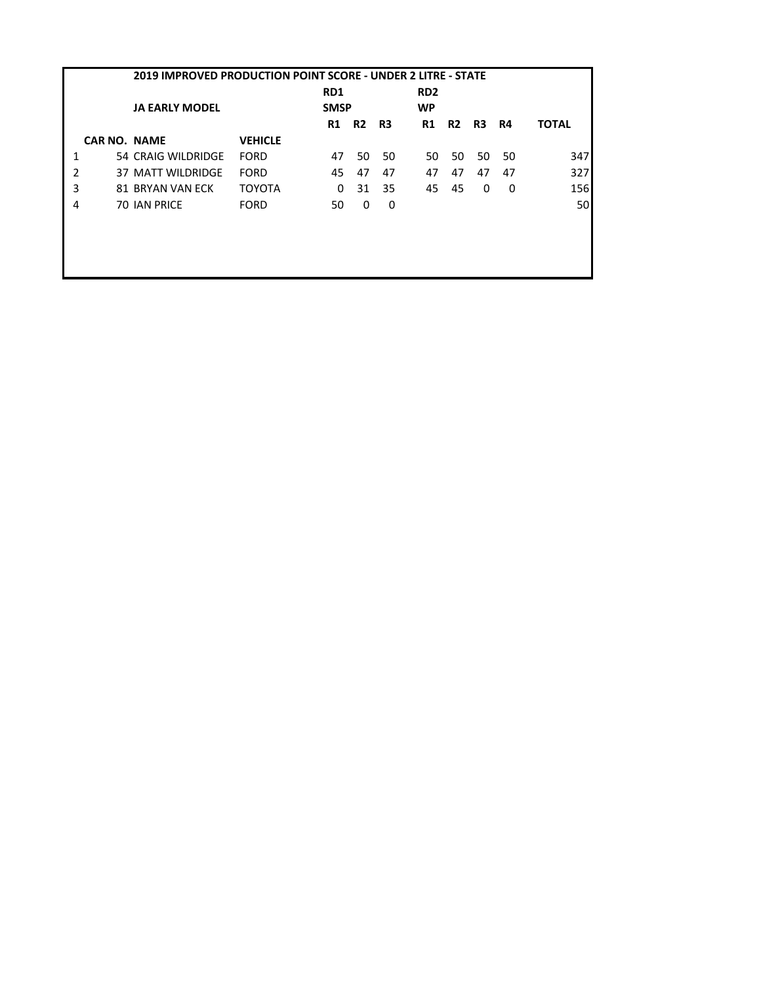|   | 2019 IMPROVED PRODUCTION POINT SCORE - UNDER 2 LITRE - STATE |                          |                |                 |           |    |                 |                |    |    |              |
|---|--------------------------------------------------------------|--------------------------|----------------|-----------------|-----------|----|-----------------|----------------|----|----|--------------|
|   |                                                              |                          |                | RD <sub>1</sub> |           |    | RD <sub>2</sub> |                |    |    |              |
|   |                                                              | <b>JA EARLY MODEL</b>    |                | <b>SMSP</b>     |           |    | <b>WP</b>       |                |    |    |              |
|   |                                                              |                          |                | <b>R1</b>       | <b>R2</b> | R3 | R1              | R <sub>2</sub> | R3 | R4 | <b>TOTAL</b> |
|   | <b>CAR NO. NAME</b>                                          |                          | <b>VEHICLE</b> |                 |           |    |                 |                |    |    |              |
| 1 |                                                              | 54 CRAIG WILDRIDGE       | <b>FORD</b>    | 47              | 50        | 50 | 50              | 50             | 50 | 50 | 347          |
| 2 |                                                              | <b>37 MATT WILDRIDGE</b> | <b>FORD</b>    | 45              | 47        | 47 | 47              | 47             | 47 | 47 | 327          |
| 3 |                                                              | 81 BRYAN VAN ECK         | <b>TOYOTA</b>  | 0               | 31        | 35 | 45              | 45             | 0  | 0  | 156          |
| 4 |                                                              | <b>70 IAN PRICE</b>      | <b>FORD</b>    | 50              | 0         | 0  |                 |                |    |    | 50           |
|   |                                                              |                          |                |                 |           |    |                 |                |    |    |              |
|   |                                                              |                          |                |                 |           |    |                 |                |    |    |              |
|   |                                                              |                          |                |                 |           |    |                 |                |    |    |              |
|   |                                                              |                          |                |                 |           |    |                 |                |    |    |              |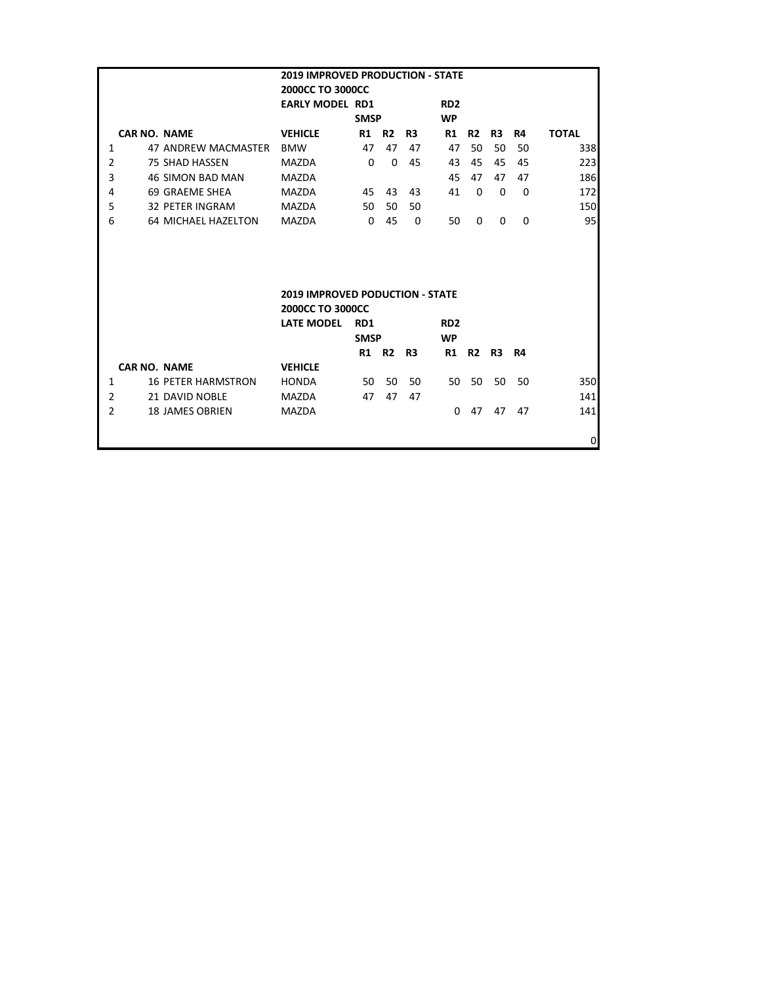| <b>2019 IMPROVED PRODUCTION - STATE</b> |                           |                                        |             |                |          |                 |                |                |           |              |
|-----------------------------------------|---------------------------|----------------------------------------|-------------|----------------|----------|-----------------|----------------|----------------|-----------|--------------|
|                                         |                           | 2000CC TO 3000CC                       |             |                |          |                 |                |                |           |              |
|                                         |                           | <b>EARLY MODEL RD1</b>                 |             |                |          | RD <sub>2</sub> |                |                |           |              |
|                                         |                           |                                        | <b>SMSP</b> |                |          | <b>WP</b>       |                |                |           |              |
|                                         | <b>CAR NO. NAME</b>       | <b>VEHICLE</b>                         | R1          | R <sub>2</sub> | R3       | <b>R1</b>       | <b>R2</b>      | R3             | R4        | <b>TOTAL</b> |
| $\mathbf{1}$                            | 47 ANDREW MACMASTER       | <b>BMW</b>                             | 47          | 47             | 47       | 47              | 50             | 50             | 50        | 338          |
| 2                                       | <b>75 SHAD HASSEN</b>     | <b>MAZDA</b>                           | $\Omega$    | $\Omega$       | 45       | 43              | 45             | 45             | 45        | 223          |
| 3                                       | <b>46 SIMON BAD MAN</b>   | <b>MAZDA</b>                           |             |                |          | 45              | 47             | 47             | 47        | 186          |
| 4                                       | 69 GRAEME SHEA            | <b>MAZDA</b>                           | 45          | 43             | 43       | 41              | $\Omega$       | $\Omega$       | $\Omega$  | 172          |
| 5                                       | <b>32 PETER INGRAM</b>    | MAZDA                                  | 50          | 50             | 50       |                 |                |                |           | 150          |
| 6                                       | 64 MICHAEL HAZELTON       | <b>MAZDA</b>                           | $\Omega$    | 45             | $\Omega$ | 50              | 0              | 0              | $\Omega$  | 95           |
|                                         |                           |                                        |             |                |          |                 |                |                |           |              |
|                                         |                           |                                        |             |                |          |                 |                |                |           |              |
|                                         |                           |                                        |             |                |          |                 |                |                |           |              |
|                                         |                           |                                        |             |                |          |                 |                |                |           |              |
|                                         |                           | <b>2019 IMPROVED PODUCTION - STATE</b> |             |                |          |                 |                |                |           |              |
|                                         |                           | <b>2000CC TO 3000CC</b>                |             |                |          |                 |                |                |           |              |
|                                         |                           | <b>LATE MODEL</b>                      | RD1         |                |          | RD <sub>2</sub> |                |                |           |              |
|                                         |                           |                                        | <b>SMSP</b> |                |          | <b>WP</b>       |                |                |           |              |
|                                         |                           |                                        | R1          | R <sub>2</sub> | R3       | R1              | R <sub>2</sub> | R <sub>3</sub> | <b>R4</b> |              |
|                                         | <b>CAR NO. NAME</b>       | <b>VEHICLE</b>                         |             |                |          |                 |                |                |           |              |
| $\mathbf{1}$                            | <b>16 PETER HARMSTRON</b> | <b>HONDA</b>                           | 50          | 50             | 50       | 50              | 50             | 50             | 50        | 350          |
| 2                                       | 21 DAVID NOBLE            | <b>MAZDA</b>                           | 47          | 47             | 47       |                 |                |                |           | 141          |
| $\overline{2}$                          | <b>18 JAMES OBRIEN</b>    | <b>MAZDA</b>                           |             |                |          | $\Omega$        | 47             | 47             | 47        | 141          |
|                                         |                           |                                        |             |                |          |                 |                |                |           |              |
|                                         |                           |                                        |             |                |          |                 |                |                |           | 0            |